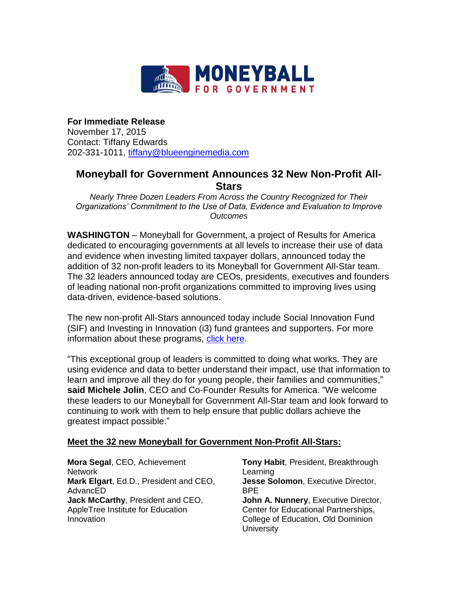

**For Immediate Release** November 17, 2015 Contact: Tiffany Edwards 202-331-1011, [tiffany@blueenginemedia.com](mailto:tiffany@blueenginemedia.com)

## **Moneyball for Government Announces 32 New Non-Profit All-Stars**

*Nearly Three Dozen Leaders From Across the Country Recognized for Their Organizations' Commitment to the Use of Data, Evidence and Evaluation to Improve Outcomes*

**WASHINGTON** – Moneyball for Government, a project of Results for America dedicated to encouraging governments at all levels to increase their use of data and evidence when investing limited taxpayer dollars, announced today the addition of 32 non-profit leaders to its Moneyball for Government All-Star team. The 32 leaders announced today are CEOs, presidents, executives and founders of leading national non-profit organizations committed to improving lives using data-driven, evidence-based solutions.

The new non-profit All-Stars announced today include Social Innovation Fund (SIF) and Investing in Innovation (i3) fund grantees and supporters. For more information about these programs, [click here.](http://results4america.org/policy-hub/invest-works-fact-sheet-federal-evidence-based-innovation-programs/)

"This exceptional group of leaders is committed to doing what works. They are using evidence and data to better understand their impact, use that information to learn and improve all they do for young people, their families and communities," **said Michele Jolin**, CEO and Co-Founder Results for America. "We welcome these leaders to our Moneyball for Government All-Star team and look forward to continuing to work with them to help ensure that public dollars achieve the greatest impact possible."

## **Meet the 32 new Moneyball for Government Non-Profit All-Stars:**

**Mora Segal**, CEO, Achievement Network **Mark Elgart**, Ed.D., President and CEO, AdvancED **Jack McCarthy**, President and CEO, AppleTree Institute for Education Innovation

**Tony Habit**, President, Breakthrough Learning **Jesse Solomon**, Executive Director, BPE **John A. Nunnery**, Executive Director, Center for Educational Partnerships, College of Education, Old Dominion **University**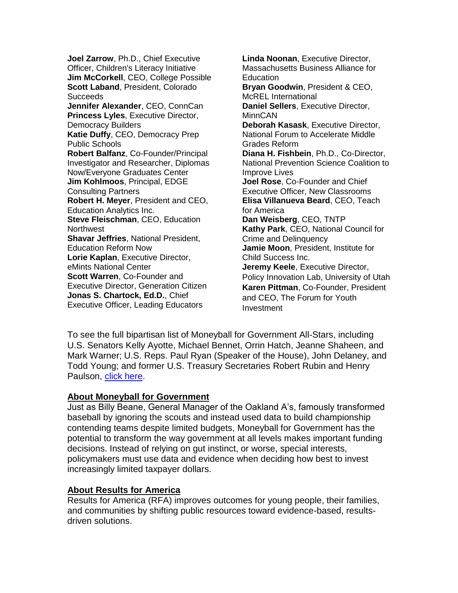**Joel Zarrow**, Ph.D., Chief Executive Officer, Children's Literacy Initiative **Jim McCorkell**, CEO, College Possible **Scott Laband**, President, Colorado Succeeds **Jennifer Alexander**, CEO, ConnCan **Princess Lyles**, Executive Director, Democracy Builders **Katie Duffy**, CEO, Democracy Prep Public Schools **Robert Balfanz**, Co-Founder/Principal Investigator and Researcher, Diplomas Now/Everyone Graduates Center **Jim Kohlmoos**, Principal, EDGE Consulting Partners **Robert H. Meyer**, President and CEO, Education Analytics Inc. **Steve Fleischman**, CEO, Education **Northwest Shavar Jeffries**, National President, Education Reform Now **Lorie Kaplan**, Executive Director, eMints National Center **Scott Warren**, Co-Founder and Executive Director, Generation Citizen **Jonas S. Chartock, Ed.D.**, Chief Executive Officer, Leading Educators

**Linda Noonan**, Executive Director, Massachusetts Business Alliance for **Education Bryan Goodwin**, President & CEO, McREL International **Daniel Sellers**, Executive Director, **MinnCAN Deborah Kasask**, Executive Director, National Forum to Accelerate Middle Grades Reform **Diana H. Fishbein**, Ph.D., Co-Director, National Prevention Science Coalition to Improve Lives **Joel Rose**, Co-Founder and Chief Executive Officer, New Classrooms **Elisa Villanueva Beard**, CEO, Teach for America **Dan Weisberg**, CEO, TNTP **Kathy Park**, CEO, National Council for Crime and Delinquency **Jamie Moon**, President, Institute for Child Success Inc. **Jeremy Keele**, Executive Director, Policy Innovation Lab, University of Utah **Karen Pittman**, Co-Founder, President and CEO, The Forum for Youth Investment

To see the full bipartisan list of Moneyball for Government All-Stars, including U.S. Senators Kelly Ayotte, Michael Bennet, Orrin Hatch, Jeanne Shaheen, and Mark Warner; U.S. Reps. Paul Ryan (Speaker of the House), John Delaney, and Todd Young; and former U.S. Treasury Secretaries Robert Rubin and Henry Paulson, click [here.](http://moneyballforgov.com/moneyball-all-stars/)

## **About Moneyball for Government**

Just as Billy Beane, General Manager of the Oakland A's, famously transformed baseball by ignoring the scouts and instead used data to build championship contending teams despite limited budgets, Moneyball for Government has the potential to transform the way government at all levels makes important funding decisions. Instead of relying on gut instinct, or worse, special interests, policymakers must use data and evidence when deciding how best to invest increasingly limited taxpayer dollars.

## **About Results for America**

Results for America (RFA) improves outcomes for young people, their families, and communities by shifting public resources toward evidence-based, resultsdriven solutions.